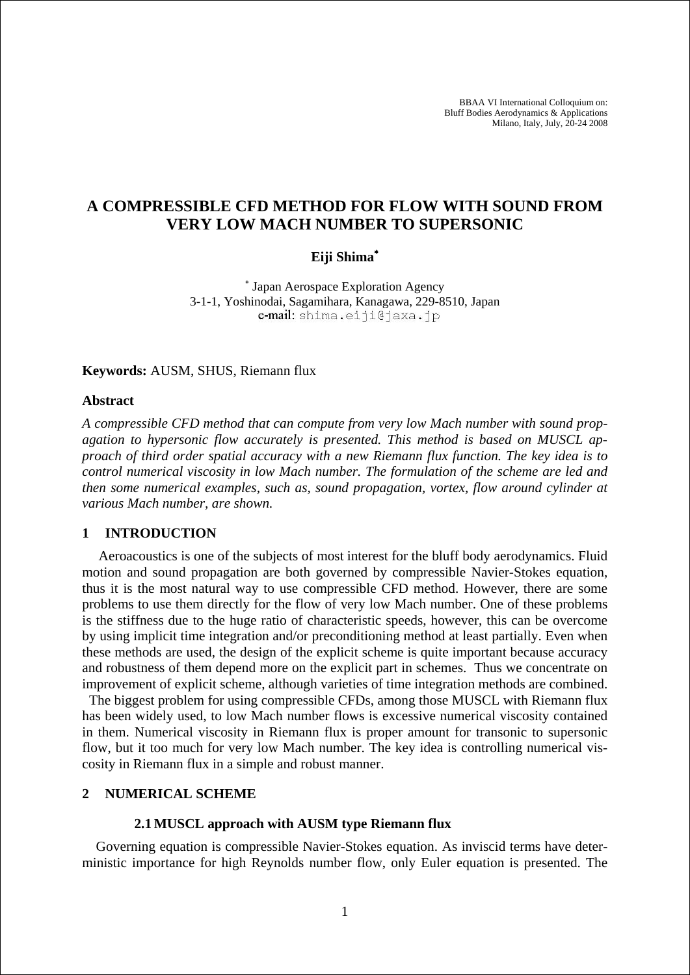BBAA VI International Colloquium on: Bluff Bodies Aerodynamics & Applications Milano, Italy, July, 20-24 2008

# **A COMPRESSIBLE CFD METHOD FOR FLOW WITH SOUND FROM VERY LOW MACH NUMBER TO SUPERSONIC**

## **Eiji Shima**<sup>∗</sup>

∗ Japan Aerospace Exploration Agency 3-1-1, Yoshinodai, Sagamihara, Kanagawa, 229-8510, Japan e-mail: shima.eiji@jaxa.jp

#### **Keywords:** AUSM, SHUS, Riemann flux

#### **Abstract**

*A compressible CFD method that can compute from very low Mach number with sound propagation to hypersonic flow accurately is presented. This method is based on MUSCL approach of third order spatial accuracy with a new Riemann flux function. The key idea is to control numerical viscosity in low Mach number. The formulation of the scheme are led and then some numerical examples, such as, sound propagation, vortex, flow around cylinder at various Mach number, are shown.* 

#### **1 INTRODUCTION**

Aeroacoustics is one of the subjects of most interest for the bluff body aerodynamics. Fluid motion and sound propagation are both governed by compressible Navier-Stokes equation, thus it is the most natural way to use compressible CFD method. However, there are some problems to use them directly for the flow of very low Mach number. One of these problems is the stiffness due to the huge ratio of characteristic speeds, however, this can be overcome by using implicit time integration and/or preconditioning method at least partially. Even when these methods are used, the design of the explicit scheme is quite important because accuracy and robustness of them depend more on the explicit part in schemes. Thus we concentrate on improvement of explicit scheme, although varieties of time integration methods are combined.

The biggest problem for using compressible CFDs, among those MUSCL with Riemann flux has been widely used, to low Mach number flows is excessive numerical viscosity contained in them. Numerical viscosity in Riemann flux is proper amount for transonic to supersonic flow, but it too much for very low Mach number. The key idea is controlling numerical viscosity in Riemann flux in a simple and robust manner.

### **2 NUMERICAL SCHEME**

#### **2.1 MUSCL approach with AUSM type Riemann flux**

Governing equation is compressible Navier-Stokes equation. As inviscid terms have deterministic importance for high Reynolds number flow, only Euler equation is presented. The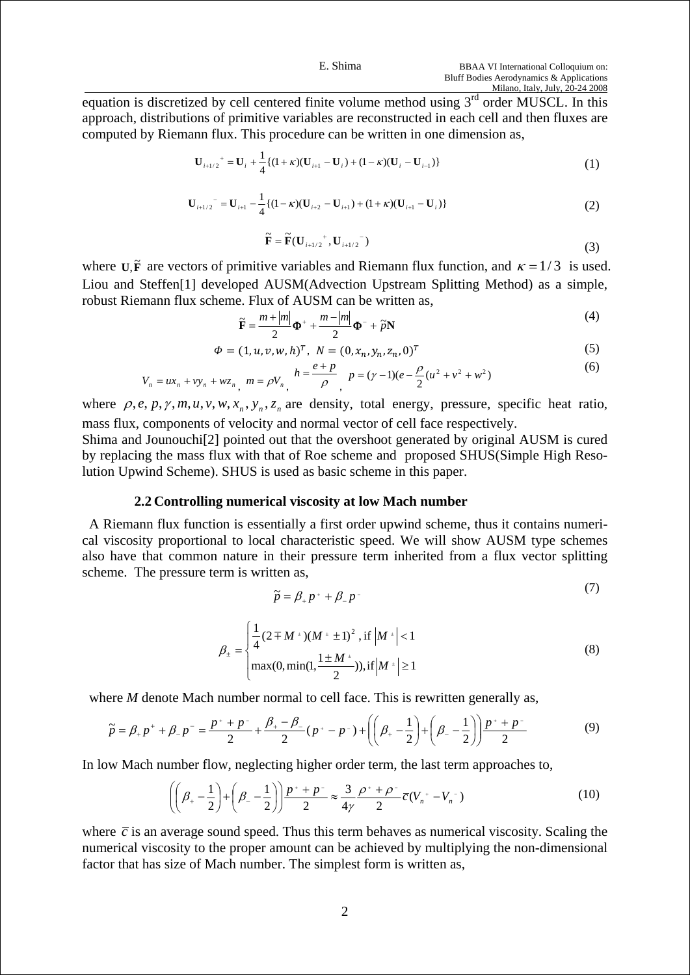Milano, Italy, July, 20-24 2008<br>equation is discretized by cell centered finite volume method using 3<sup>rd</sup> order MUSCL. In this approach, distributions of primitive variables are reconstructed in each cell and then fluxes are computed by Riemann flux. This procedure can be written in one dimension as,

$$
\mathbf{U}_{i+1/2}^+ = \mathbf{U}_i + \frac{1}{4} \{ (1+\kappa)(\mathbf{U}_{i+1} - \mathbf{U}_i) + (1-\kappa)(\mathbf{U}_i - \mathbf{U}_{i-1}) \}
$$
(1)

$$
\mathbf{U}_{i+1/2}^{\top} = \mathbf{U}_{i+1} - \frac{1}{4} \{ (1 - \kappa)(\mathbf{U}_{i+2} - \mathbf{U}_{i+1}) + (1 + \kappa)(\mathbf{U}_{i+1} - \mathbf{U}_i) \}
$$
(2)

$$
\widetilde{\mathbf{F}} = \widetilde{\mathbf{F}}(\mathbf{U}_{i+1/2}^+, \mathbf{U}_{i+1/2}^-)
$$
\n(3)

where  $U$ ,  $\tilde{F}$  are vectors of primitive variables and Riemann flux function, and  $\kappa = 1/3$  is used. Liou and Steffen[1] developed AUSM(Advection Upstream Splitting Method) as a simple, robust Riemann flux scheme. Flux of AUSM can be written as,

$$
\widetilde{\mathbf{F}} = \frac{m + |m|}{2} \mathbf{\Phi}^+ + \frac{m - |m|}{2} \mathbf{\Phi}^- + \widetilde{p}\mathbf{N}
$$
\n(4)

$$
\Phi = (1, u, v, w, h)^T, \ N = (0, x_n, y_n, z_n, 0)^T
$$
\n(5)

$$
V_n = ux_n + vy_n + wz_n, \ m = \rho V_n, \quad h = \frac{e+p}{\rho}, \quad p = (\gamma - 1)(e - \frac{\rho}{2}(u^2 + v^2 + w^2))
$$
 (6)

where  $\rho$ , *e*, *p*,  $\gamma$ , *m*, *u*, *v*, *w*, *x<sub>n</sub>*, *y<sub>n</sub>*, *z<sub>n</sub>*</sub> are density, total energy, pressure, specific heat ratio, mass flux, components of velocity and normal vector of cell face respectively.

Shima and Jounouchi[2] pointed out that the overshoot generated by original AUSM is cured by replacing the mass flux with that of Roe scheme and proposed SHUS(Simple High Resolution Upwind Scheme). SHUS is used as basic scheme in this paper.

### **2.2 Controlling numerical viscosity at low Mach number**

A Riemann flux function is essentially a first order upwind scheme, thus it contains numerical viscosity proportional to local characteristic speed. We will show AUSM type schemes also have that common nature in their pressure term inherited from a flux vector splitting scheme. The pressure term is written as,

$$
\widetilde{p} = \beta_+ p^+ + \beta_- p^- \tag{7}
$$

$$
\beta_{\pm} = \begin{cases} \frac{1}{4} (2 \mp M^{+}) (M^{+} \pm 1)^{2}, \text{if } |M^{+}| < 1 \\ \max(0, \min(1, \frac{1 \pm M^{+}}{2})), \text{if } |M^{+}| \ge 1 \end{cases}
$$
(8)

where *M* denote Mach number normal to cell face. This is rewritten generally as,

$$
\widetilde{p} = \beta_{+}p^{+} + \beta_{-}p^{-} = \frac{p^{+} + p^{-}}{2} + \frac{\beta_{+} - \beta_{-}}{2}(p^{+} - p^{-}) + \left(\left(\beta_{+} - \frac{1}{2}\right) + \left(\beta_{-} - \frac{1}{2}\right)\right)\frac{p^{+} + p^{-}}{2}
$$
(9)

In low Mach number flow, neglecting higher order term, the last term approaches to,

$$
\left( \left( \beta_{+} - \frac{1}{2} \right) + \left( \beta_{-} - \frac{1}{2} \right) \right) \frac{p^{+} + p^{-}}{2} \approx \frac{3}{4\gamma} \frac{\rho^{+} + \rho^{-}}{2} \overline{c} (V_n^{+} - V_n^{-}) \tag{10}
$$

where  $\bar{c}$  is an average sound speed. Thus this term behaves as numerical viscosity. Scaling the numerical viscosity to the proper amount can be achieved by multiplying the non-dimensional factor that has size of Mach number. The simplest form is written as,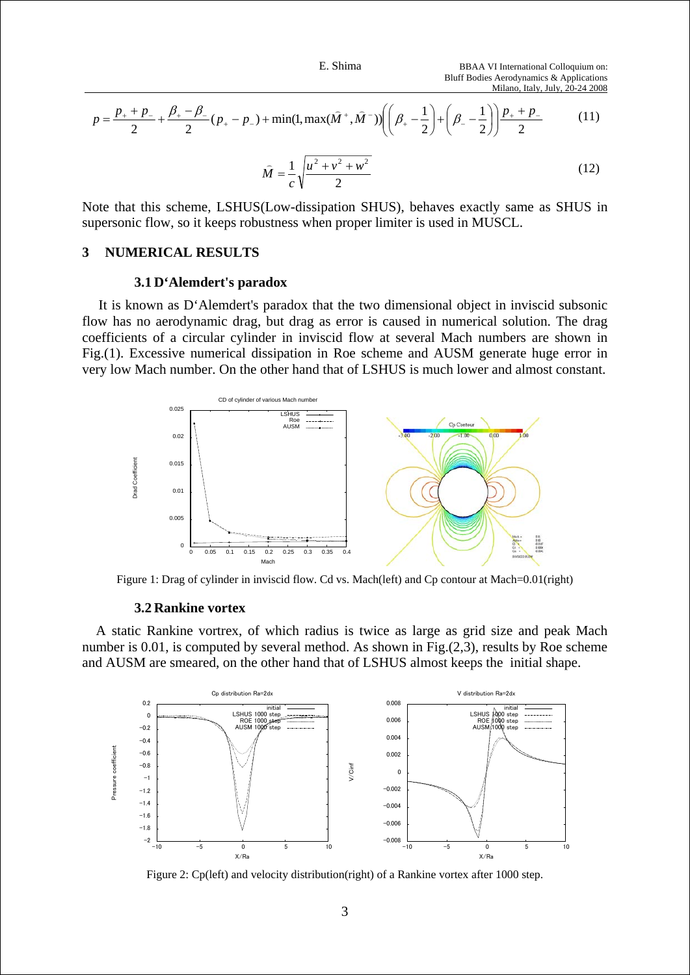$$
p = \frac{p_+ + p_-}{2} + \frac{\beta_+ - \beta_-}{2} (p_+ - p_-) + \min(1, \max(\hat{M}^+, \hat{M}^-)) \left( \left( \beta_+ - \frac{1}{2} \right) + \left( \beta_- - \frac{1}{2} \right) \right) \frac{p_+ + p_-}{2}
$$
(11)

$$
\widehat{M} = \frac{1}{c} \sqrt{\frac{u^2 + v^2 + w^2}{2}} \tag{12}
$$

Note that this scheme, LSHUS(Low-dissipation SHUS), behaves exactly same as SHUS in supersonic flow, so it keeps robustness when proper limiter is used in MUSCL.

### **3 NUMERICAL RESULTS**

#### **3.1 D'Alemdert's paradox**

It is known as D'Alemdert's paradox that the two dimensional object in inviscid subsonic flow has no aerodynamic drag, but drag as error is caused in numerical solution. The drag coefficients of a circular cylinder in inviscid flow at several Mach numbers are shown in Fig.(1). Excessive numerical dissipation in Roe scheme and AUSM generate huge error in very low Mach number. On the other hand that of LSHUS is much lower and almost constant.



Figure 1: Drag of cylinder in inviscid flow. Cd vs. Mach(left) and Cp contour at Mach=0.01(right)

#### **3.2 Rankine vortex**

A static Rankine vortrex, of which radius is twice as large as grid size and peak Mach number is 0.01, is computed by several method. As shown in Fig.(2,3), results by Roe scheme and AUSM are smeared, on the other hand that of LSHUS almost keeps the initial shape.



Figure 2: Cp(left) and velocity distribution(right) of a Rankine vortex after 1000 step.